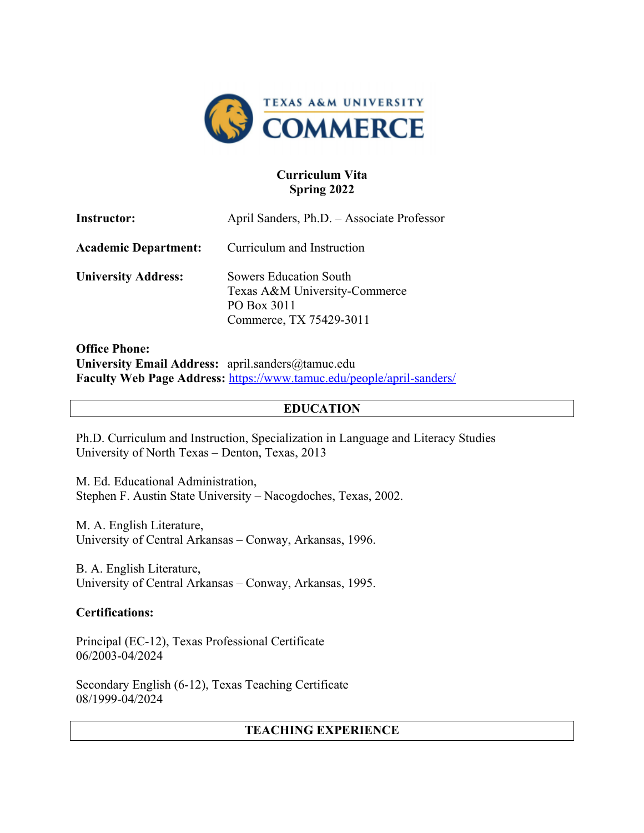

## **Curriculum Vita Spring 2022**

| <b>Instructor:</b>          | April Sanders, Ph.D. - Associate Professor                                                               |
|-----------------------------|----------------------------------------------------------------------------------------------------------|
| <b>Academic Department:</b> | Curriculum and Instruction                                                                               |
| <b>University Address:</b>  | <b>Sowers Education South</b><br>Texas A&M University-Commerce<br>PO Box 3011<br>Commerce, TX 75429-3011 |

**Office Phone: University Email Address:** april.sanders@tamuc.edu **Faculty Web Page Address:** https://www.tamuc.edu/people/april-sanders/

### **EDUCATION**

Ph.D. Curriculum and Instruction, Specialization in Language and Literacy Studies University of North Texas – Denton, Texas, 2013

M. Ed. Educational Administration, Stephen F. Austin State University – Nacogdoches, Texas, 2002.

M. A. English Literature, University of Central Arkansas – Conway, Arkansas, 1996.

B. A. English Literature, University of Central Arkansas – Conway, Arkansas, 1995.

## **Certifications:**

Principal (EC-12), Texas Professional Certificate 06/2003-04/2024

Secondary English (6-12), Texas Teaching Certificate 08/1999-04/2024

## **TEACHING EXPERIENCE**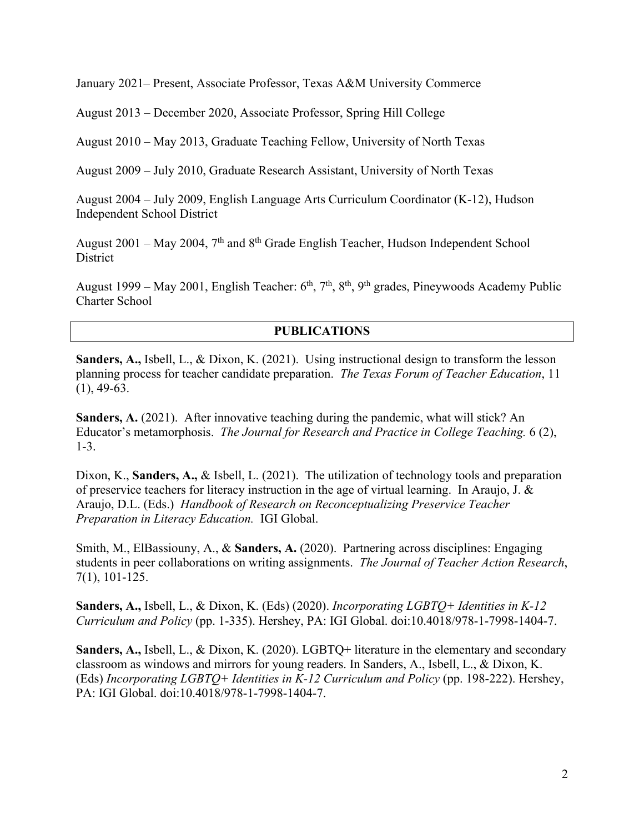January 2021– Present, Associate Professor, Texas A&M University Commerce

August 2013 – December 2020, Associate Professor, Spring Hill College

August 2010 – May 2013, Graduate Teaching Fellow, University of North Texas

August 2009 – July 2010, Graduate Research Assistant, University of North Texas

August 2004 – July 2009, English Language Arts Curriculum Coordinator (K-12), Hudson Independent School District

August 2001 – May 2004,  $7<sup>th</sup>$  and  $8<sup>th</sup>$  Grade English Teacher, Hudson Independent School **District** 

August 1999 – May 2001, English Teacher:  $6<sup>th</sup>$ ,  $7<sup>th</sup>$ ,  $8<sup>th</sup>$ ,  $9<sup>th</sup>$  grades, Pineywoods Academy Public Charter School

## **PUBLICATIONS**

**Sanders, A.,** Isbell, L., & Dixon, K. (2021). Using instructional design to transform the lesson planning process for teacher candidate preparation. *The Texas Forum of Teacher Education*, 11  $(1), 49-63.$ 

**Sanders, A.** (2021). After innovative teaching during the pandemic, what will stick? An Educator's metamorphosis. *The Journal for Research and Practice in College Teaching.* 6 (2), 1-3.

Dixon, K., **Sanders, A.,** & Isbell, L. (2021). The utilization of technology tools and preparation of preservice teachers for literacy instruction in the age of virtual learning. In Araujo, J. & Araujo, D.L. (Eds.) *Handbook of Research on Reconceptualizing Preservice Teacher Preparation in Literacy Education.* IGI Global.

Smith, M., ElBassiouny, A., & **Sanders, A.** (2020). Partnering across disciplines: Engaging students in peer collaborations on writing assignments. *The Journal of Teacher Action Research*, 7(1), 101-125.

**Sanders, A.,** Isbell, L., & Dixon, K. (Eds) (2020). *Incorporating LGBTQ+ Identities in K-12 Curriculum and Policy* (pp. 1-335). Hershey, PA: IGI Global. doi:10.4018/978-1-7998-1404-7.

**Sanders, A.,** Isbell, L., & Dixon, K. (2020). LGBTQ+ literature in the elementary and secondary classroom as windows and mirrors for young readers. In Sanders, A., Isbell, L., & Dixon, K. (Eds) *Incorporating LGBTQ+ Identities in K-12 Curriculum and Policy* (pp. 198-222). Hershey, PA: IGI Global. doi:10.4018/978-1-7998-1404-7.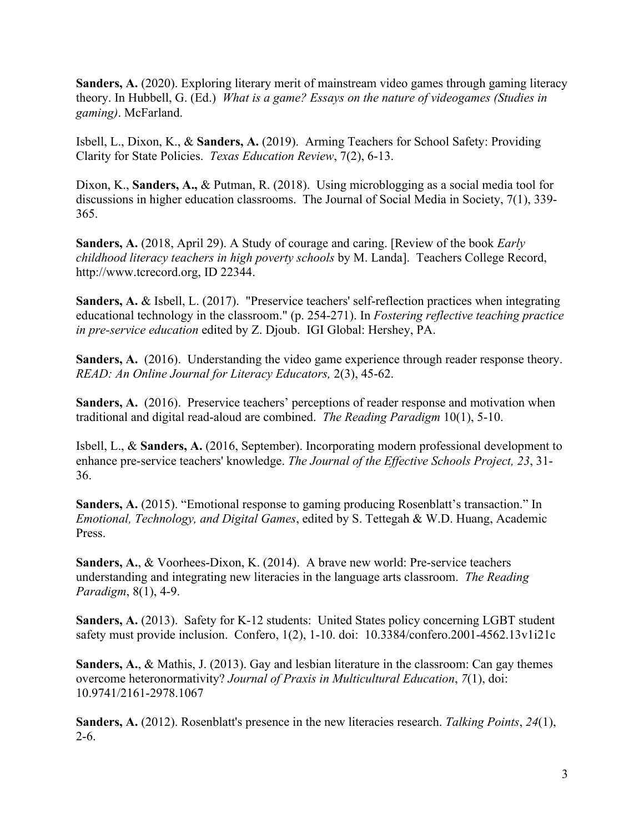**Sanders, A.** (2020). Exploring literary merit of mainstream video games through gaming literacy theory. In Hubbell, G. (Ed.) *What is a game? Essays on the nature of videogames (Studies in gaming)*. McFarland.

Isbell, L., Dixon, K., & **Sanders, A.** (2019). Arming Teachers for School Safety: Providing Clarity for State Policies. *Texas Education Review*, 7(2), 6-13.

Dixon, K., **Sanders, A.,** & Putman, R. (2018). Using microblogging as a social media tool for discussions in higher education classrooms. The Journal of Social Media in Society, 7(1), 339- 365.

**Sanders, A.** (2018, April 29). A Study of courage and caring. [Review of the book *Early childhood literacy teachers in high poverty schools* by M. Landa]. Teachers College Record, http://www.tcrecord.org, ID 22344.

**Sanders, A.** & Isbell, L. (2017). "Preservice teachers' self-reflection practices when integrating educational technology in the classroom." (p. 254-271). In *Fostering reflective teaching practice in pre-service education* edited by Z. Djoub. IGI Global: Hershey, PA.

Sanders, A. (2016). Understanding the video game experience through reader response theory. *READ: An Online Journal for Literacy Educators,* 2(3), 45-62.

**Sanders, A.** (2016). Preservice teachers' perceptions of reader response and motivation when traditional and digital read-aloud are combined. *The Reading Paradigm* 10(1), 5-10.

Isbell, L., & **Sanders, A.** (2016, September). Incorporating modern professional development to enhance pre-service teachers' knowledge. *The Journal of the Effective Schools Project, 23*, 31- 36.

**Sanders, A.** (2015). "Emotional response to gaming producing Rosenblatt's transaction." In *Emotional, Technology, and Digital Games*, edited by S. Tettegah & W.D. Huang, Academic Press.

**Sanders, A.**, & Voorhees-Dixon, K. (2014). A brave new world: Pre-service teachers understanding and integrating new literacies in the language arts classroom. *The Reading Paradigm*, 8(1), 4-9.

**Sanders, A.** (2013). Safety for K-12 students: United States policy concerning LGBT student safety must provide inclusion. Confero, 1(2), 1-10. doi: 10.3384/confero.2001-4562.13v1i21c

**Sanders, A.**, & Mathis, J. (2013). Gay and lesbian literature in the classroom: Can gay themes overcome heteronormativity? *Journal of Praxis in Multicultural Education*, *7*(1), doi: 10.9741/2161-2978.1067

**Sanders, A.** (2012). Rosenblatt's presence in the new literacies research. *Talking Points*, *24*(1), 2-6.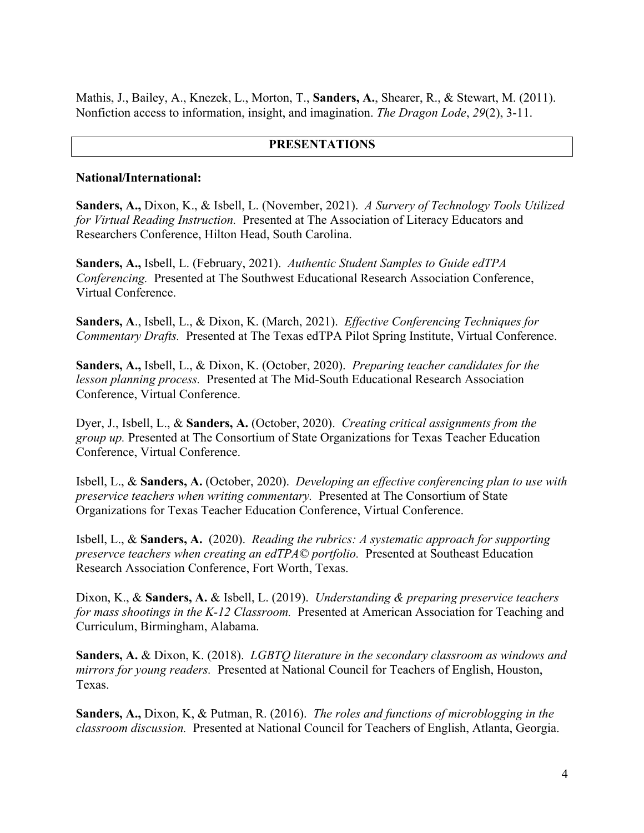Mathis, J., Bailey, A., Knezek, L., Morton, T., **Sanders, A.**, Shearer, R., & Stewart, M. (2011). Nonfiction access to information, insight, and imagination. *The Dragon Lode*, *29*(2), 3-11.

#### **PRESENTATIONS**

#### **National/International:**

**Sanders, A.,** Dixon, K., & Isbell, L. (November, 2021). *A Survery of Technology Tools Utilized for Virtual Reading Instruction.* Presented at The Association of Literacy Educators and Researchers Conference, Hilton Head, South Carolina.

**Sanders, A.,** Isbell, L. (February, 2021). *Authentic Student Samples to Guide edTPA Conferencing.* Presented at The Southwest Educational Research Association Conference, Virtual Conference.

**Sanders, A**., Isbell, L., & Dixon, K. (March, 2021). *Effective Conferencing Techniques for Commentary Drafts.* Presented at The Texas edTPA Pilot Spring Institute, Virtual Conference.

**Sanders, A.,** Isbell, L., & Dixon, K. (October, 2020). *Preparing teacher candidates for the lesson planning process.* Presented at The Mid-South Educational Research Association Conference, Virtual Conference.

Dyer, J., Isbell, L., & **Sanders, A.** (October, 2020). *Creating critical assignments from the group up.* Presented at The Consortium of State Organizations for Texas Teacher Education Conference, Virtual Conference.

Isbell, L., & **Sanders, A.** (October, 2020). *Developing an effective conferencing plan to use with preservice teachers when writing commentary.* Presented at The Consortium of State Organizations for Texas Teacher Education Conference, Virtual Conference.

Isbell, L., & **Sanders, A.** (2020). *Reading the rubrics: A systematic approach for supporting preservce teachers when creating an edTPA© portfolio.* Presented at Southeast Education Research Association Conference, Fort Worth, Texas.

Dixon, K., & **Sanders, A.** & Isbell, L. (2019). *Understanding & preparing preservice teachers for mass shootings in the K-12 Classroom.* Presented at American Association for Teaching and Curriculum, Birmingham, Alabama.

**Sanders, A.** & Dixon, K. (2018). *LGBTQ literature in the secondary classroom as windows and mirrors for young readers.* Presented at National Council for Teachers of English, Houston, Texas.

**Sanders, A.,** Dixon, K, & Putman, R. (2016). *The roles and functions of microblogging in the classroom discussion.* Presented at National Council for Teachers of English, Atlanta, Georgia.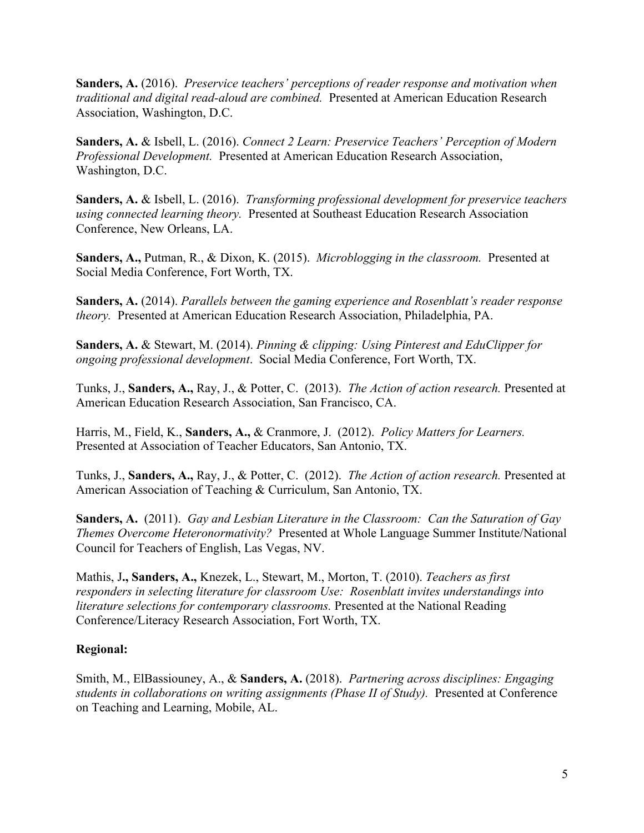**Sanders, A.** (2016). *Preservice teachers' perceptions of reader response and motivation when traditional and digital read-aloud are combined.* Presented at American Education Research Association, Washington, D.C.

**Sanders, A.** & Isbell, L. (2016). *Connect 2 Learn: Preservice Teachers' Perception of Modern Professional Development.* Presented at American Education Research Association, Washington, D.C.

**Sanders, A.** & Isbell, L. (2016). *Transforming professional development for preservice teachers using connected learning theory.* Presented at Southeast Education Research Association Conference, New Orleans, LA.

**Sanders, A.,** Putman, R., & Dixon, K. (2015). *Microblogging in the classroom.* Presented at Social Media Conference, Fort Worth, TX.

**Sanders, A.** (2014). *Parallels between the gaming experience and Rosenblatt's reader response theory.* Presented at American Education Research Association, Philadelphia, PA.

**Sanders, A.** & Stewart, M. (2014). *Pinning & clipping: Using Pinterest and EduClipper for ongoing professional development*. Social Media Conference, Fort Worth, TX.

Tunks, J., **Sanders, A.,** Ray, J., & Potter, C. (2013). *The Action of action research.* Presented at American Education Research Association, San Francisco, CA.

Harris, M., Field, K., **Sanders, A.,** & Cranmore, J. (2012). *Policy Matters for Learners.* Presented at Association of Teacher Educators, San Antonio, TX.

Tunks, J., **Sanders, A.,** Ray, J., & Potter, C. (2012). *The Action of action research.* Presented at American Association of Teaching & Curriculum, San Antonio, TX.

**Sanders, A.** (2011). *Gay and Lesbian Literature in the Classroom: Can the Saturation of Gay Themes Overcome Heteronormativity?* Presented at Whole Language Summer Institute/National Council for Teachers of English, Las Vegas, NV.

Mathis, J**., Sanders, A.,** Knezek, L., Stewart, M., Morton, T. (2010). *Teachers as first responders in selecting literature for classroom Use: Rosenblatt invites understandings into literature selections for contemporary classrooms.* Presented at the National Reading Conference/Literacy Research Association, Fort Worth, TX.

## **Regional:**

Smith, M., ElBassiouney, A., & **Sanders, A.** (2018). *Partnering across disciplines: Engaging students in collaborations on writing assignments (Phase II of Study).* Presented at Conference on Teaching and Learning, Mobile, AL.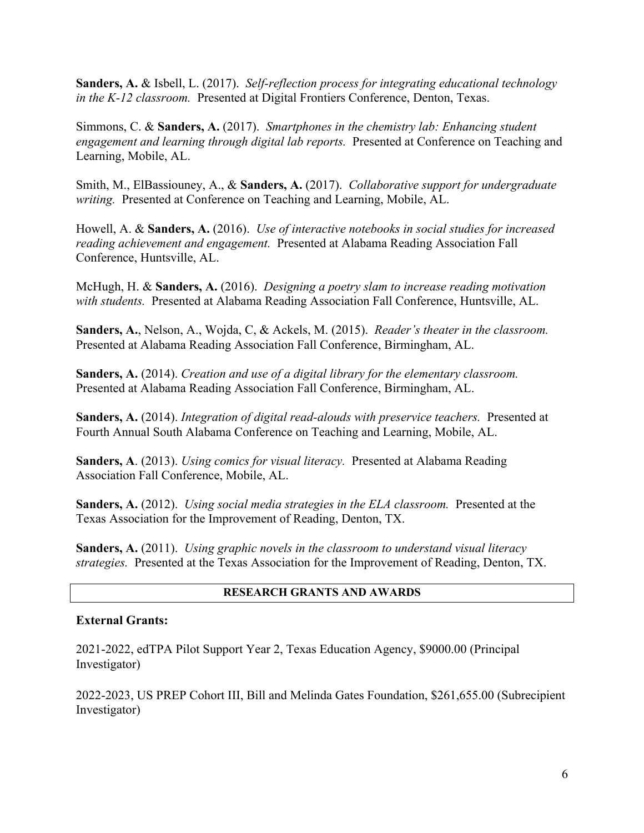**Sanders, A.** & Isbell, L. (2017). *Self-reflection process for integrating educational technology in the K-12 classroom.* Presented at Digital Frontiers Conference, Denton, Texas.

Simmons, C. & **Sanders, A.** (2017). *Smartphones in the chemistry lab: Enhancing student engagement and learning through digital lab reports.* Presented at Conference on Teaching and Learning, Mobile, AL.

Smith, M., ElBassiouney, A., & **Sanders, A.** (2017). *Collaborative support for undergraduate writing.* Presented at Conference on Teaching and Learning, Mobile, AL.

Howell, A. & **Sanders, A.** (2016). *Use of interactive notebooks in social studies for increased reading achievement and engagement.* Presented at Alabama Reading Association Fall Conference, Huntsville, AL.

McHugh, H. & **Sanders, A.** (2016). *Designing a poetry slam to increase reading motivation with students.* Presented at Alabama Reading Association Fall Conference, Huntsville, AL.

**Sanders, A.**, Nelson, A., Wojda, C, & Ackels, M. (2015). *Reader's theater in the classroom.* Presented at Alabama Reading Association Fall Conference, Birmingham, AL.

**Sanders, A.** (2014). *Creation and use of a digital library for the elementary classroom.* Presented at Alabama Reading Association Fall Conference, Birmingham, AL.

**Sanders, A.** (2014). *Integration of digital read-alouds with preservice teachers.* Presented at Fourth Annual South Alabama Conference on Teaching and Learning, Mobile, AL.

**Sanders, A**. (2013). *Using comics for visual literacy.* Presented at Alabama Reading Association Fall Conference, Mobile, AL.

**Sanders, A.** (2012). *Using social media strategies in the ELA classroom.* Presented at the Texas Association for the Improvement of Reading, Denton, TX.

**Sanders, A.** (2011). *Using graphic novels in the classroom to understand visual literacy strategies.* Presented at the Texas Association for the Improvement of Reading, Denton, TX.

#### **RESEARCH GRANTS AND AWARDS**

#### **External Grants:**

2021-2022, edTPA Pilot Support Year 2, Texas Education Agency, \$9000.00 (Principal Investigator)

2022-2023, US PREP Cohort III, Bill and Melinda Gates Foundation, \$261,655.00 (Subrecipient Investigator)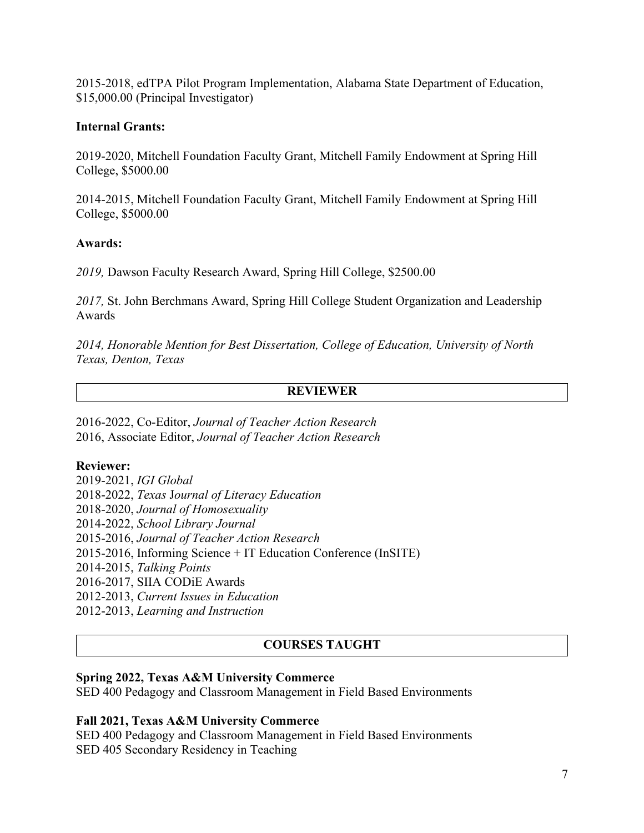2015-2018, edTPA Pilot Program Implementation, Alabama State Department of Education, \$15,000.00 (Principal Investigator)

### **Internal Grants:**

2019-2020, Mitchell Foundation Faculty Grant, Mitchell Family Endowment at Spring Hill College, \$5000.00

2014-2015, Mitchell Foundation Faculty Grant, Mitchell Family Endowment at Spring Hill College, \$5000.00

#### **Awards:**

*2019,* Dawson Faculty Research Award, Spring Hill College, \$2500.00

*2017,* St. John Berchmans Award, Spring Hill College Student Organization and Leadership Awards

*2014, Honorable Mention for Best Dissertation, College of Education, University of North Texas, Denton, Texas*

## **REVIEWER**

2016-2022, Co-Editor, *Journal of Teacher Action Research* 2016, Associate Editor, *Journal of Teacher Action Research*

## **Reviewer:**

2019-2021, *IGI Global* 2018-2022, *Texas* J*ournal of Literacy Education* 2018-2020, *Journal of Homosexuality* 2014-2022, *School Library Journal* 2015-2016, *Journal of Teacher Action Research* 2015-2016, Informing Science + IT Education Conference (InSITE) 2014-2015, *Talking Points* 2016-2017, SIIA CODiE Awards 2012-2013, *Current Issues in Education* 2012-2013, *Learning and Instruction*

## **COURSES TAUGHT**

#### **Spring 2022, Texas A&M University Commerce**

SED 400 Pedagogy and Classroom Management in Field Based Environments

#### **Fall 2021, Texas A&M University Commerce**

SED 400 Pedagogy and Classroom Management in Field Based Environments SED 405 Secondary Residency in Teaching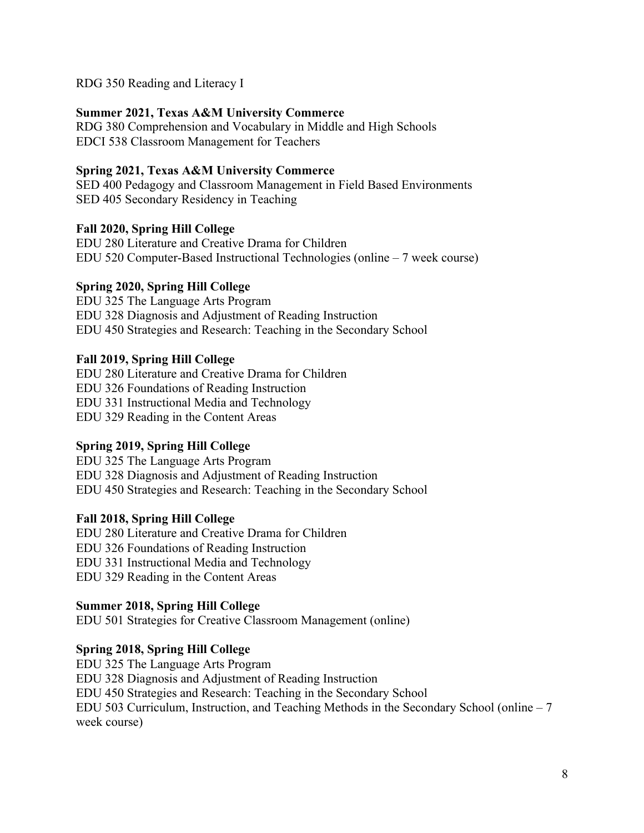RDG 350 Reading and Literacy I

## **Summer 2021, Texas A&M University Commerce**

RDG 380 Comprehension and Vocabulary in Middle and High Schools EDCI 538 Classroom Management for Teachers

#### **Spring 2021, Texas A&M University Commerce**

SED 400 Pedagogy and Classroom Management in Field Based Environments SED 405 Secondary Residency in Teaching

### **Fall 2020, Spring Hill College**

EDU 280 Literature and Creative Drama for Children EDU 520 Computer-Based Instructional Technologies (online – 7 week course)

### **Spring 2020, Spring Hill College**

EDU 325 The Language Arts Program EDU 328 Diagnosis and Adjustment of Reading Instruction EDU 450 Strategies and Research: Teaching in the Secondary School

### **Fall 2019, Spring Hill College**

EDU 280 Literature and Creative Drama for Children EDU 326 Foundations of Reading Instruction EDU 331 Instructional Media and Technology EDU 329 Reading in the Content Areas

## **Spring 2019, Spring Hill College**

EDU 325 The Language Arts Program EDU 328 Diagnosis and Adjustment of Reading Instruction EDU 450 Strategies and Research: Teaching in the Secondary School

## **Fall 2018, Spring Hill College**

EDU 280 Literature and Creative Drama for Children EDU 326 Foundations of Reading Instruction EDU 331 Instructional Media and Technology EDU 329 Reading in the Content Areas

#### **Summer 2018, Spring Hill College**

EDU 501 Strategies for Creative Classroom Management (online)

## **Spring 2018, Spring Hill College**

EDU 325 The Language Arts Program EDU 328 Diagnosis and Adjustment of Reading Instruction EDU 450 Strategies and Research: Teaching in the Secondary School EDU 503 Curriculum, Instruction, and Teaching Methods in the Secondary School (online – 7 week course)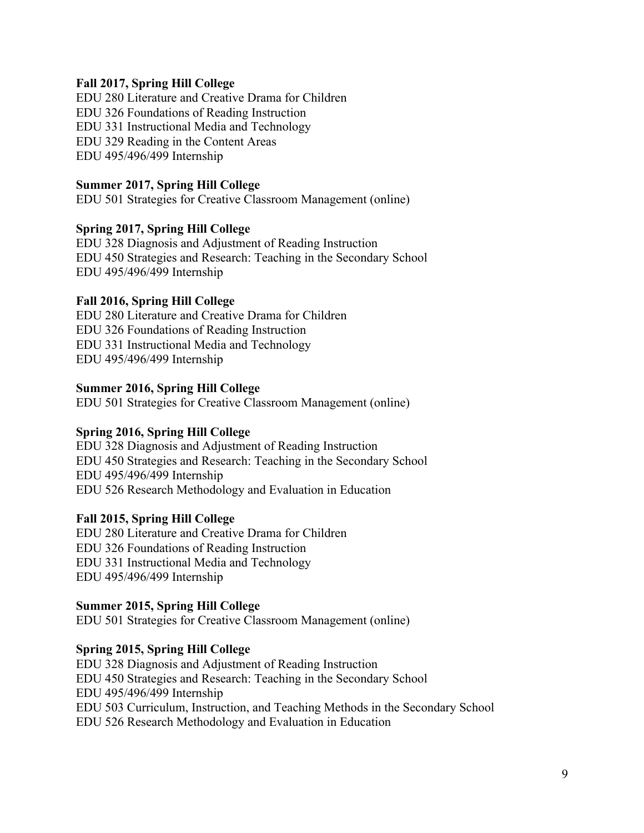### **Fall 2017, Spring Hill College**

EDU 280 Literature and Creative Drama for Children EDU 326 Foundations of Reading Instruction EDU 331 Instructional Media and Technology EDU 329 Reading in the Content Areas EDU 495/496/499 Internship

#### **Summer 2017, Spring Hill College**

EDU 501 Strategies for Creative Classroom Management (online)

### **Spring 2017, Spring Hill College**

EDU 328 Diagnosis and Adjustment of Reading Instruction EDU 450 Strategies and Research: Teaching in the Secondary School EDU 495/496/499 Internship

### **Fall 2016, Spring Hill College**

EDU 280 Literature and Creative Drama for Children EDU 326 Foundations of Reading Instruction EDU 331 Instructional Media and Technology EDU 495/496/499 Internship

### **Summer 2016, Spring Hill College**

EDU 501 Strategies for Creative Classroom Management (online)

## **Spring 2016, Spring Hill College**

EDU 328 Diagnosis and Adjustment of Reading Instruction EDU 450 Strategies and Research: Teaching in the Secondary School EDU 495/496/499 Internship EDU 526 Research Methodology and Evaluation in Education

## **Fall 2015, Spring Hill College**

EDU 280 Literature and Creative Drama for Children EDU 326 Foundations of Reading Instruction EDU 331 Instructional Media and Technology EDU 495/496/499 Internship

#### **Summer 2015, Spring Hill College**

EDU 501 Strategies for Creative Classroom Management (online)

## **Spring 2015, Spring Hill College**

EDU 328 Diagnosis and Adjustment of Reading Instruction EDU 450 Strategies and Research: Teaching in the Secondary School EDU 495/496/499 Internship EDU 503 Curriculum, Instruction, and Teaching Methods in the Secondary School EDU 526 Research Methodology and Evaluation in Education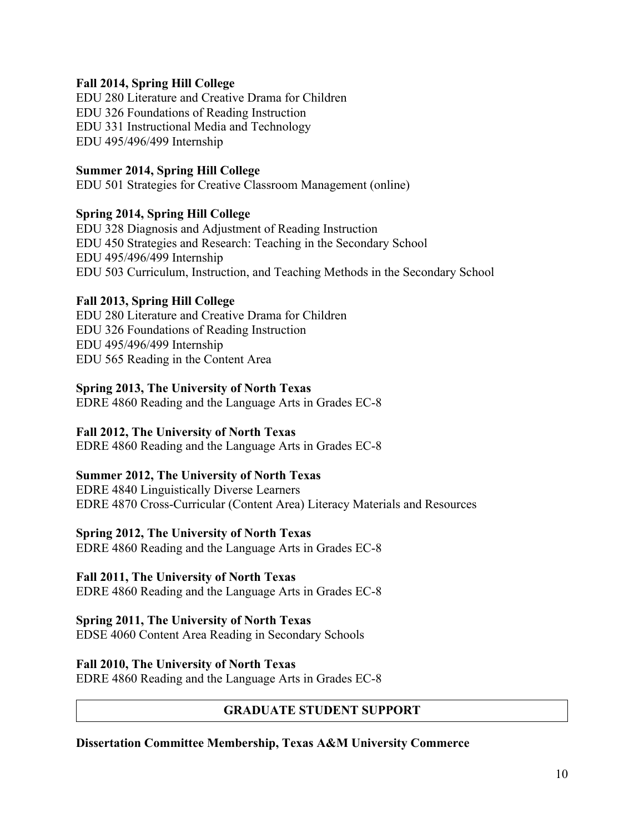## **Fall 2014, Spring Hill College**

EDU 280 Literature and Creative Drama for Children EDU 326 Foundations of Reading Instruction EDU 331 Instructional Media and Technology EDU 495/496/499 Internship

### **Summer 2014, Spring Hill College**

EDU 501 Strategies for Creative Classroom Management (online)

## **Spring 2014, Spring Hill College**

EDU 328 Diagnosis and Adjustment of Reading Instruction EDU 450 Strategies and Research: Teaching in the Secondary School EDU 495/496/499 Internship EDU 503 Curriculum, Instruction, and Teaching Methods in the Secondary School

### **Fall 2013, Spring Hill College**

EDU 280 Literature and Creative Drama for Children EDU 326 Foundations of Reading Instruction EDU 495/496/499 Internship EDU 565 Reading in the Content Area

#### **Spring 2013, The University of North Texas**

EDRE 4860 Reading and the Language Arts in Grades EC-8

## **Fall 2012, The University of North Texas**

EDRE 4860 Reading and the Language Arts in Grades EC-8

#### **Summer 2012, The University of North Texas**

EDRE 4840 Linguistically Diverse Learners EDRE 4870 Cross-Curricular (Content Area) Literacy Materials and Resources

#### **Spring 2012, The University of North Texas**

EDRE 4860 Reading and the Language Arts in Grades EC-8

## **Fall 2011, The University of North Texas**

EDRE 4860 Reading and the Language Arts in Grades EC-8

#### **Spring 2011, The University of North Texas**

EDSE 4060 Content Area Reading in Secondary Schools

## **Fall 2010, The University of North Texas**

EDRE 4860 Reading and the Language Arts in Grades EC-8

## **GRADUATE STUDENT SUPPORT**

#### **Dissertation Committee Membership, Texas A&M University Commerce**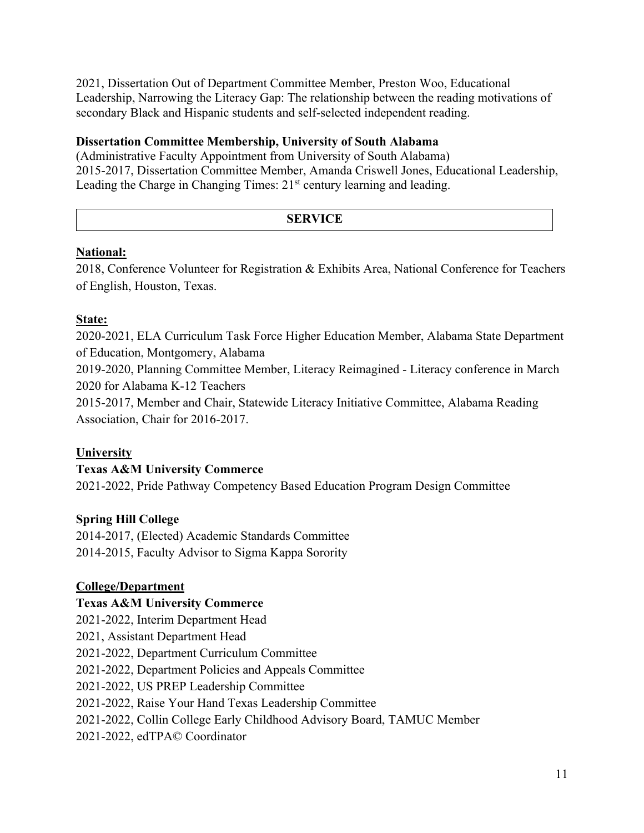2021, Dissertation Out of Department Committee Member, Preston Woo, Educational Leadership, Narrowing the Literacy Gap: The relationship between the reading motivations of secondary Black and Hispanic students and self-selected independent reading.

## **Dissertation Committee Membership, University of South Alabama**

(Administrative Faculty Appointment from University of South Alabama) 2015-2017, Dissertation Committee Member, Amanda Criswell Jones, Educational Leadership, Leading the Charge in Changing Times:  $21<sup>st</sup>$  century learning and leading.

## **SERVICE**

## **National:**

2018, Conference Volunteer for Registration & Exhibits Area, National Conference for Teachers of English, Houston, Texas.

## **State:**

2020-2021, ELA Curriculum Task Force Higher Education Member, Alabama State Department of Education, Montgomery, Alabama

2019-2020, Planning Committee Member, Literacy Reimagined - Literacy conference in March 2020 for Alabama K-12 Teachers

2015-2017, Member and Chair, Statewide Literacy Initiative Committee, Alabama Reading Association, Chair for 2016-2017.

## **University**

## **Texas A&M University Commerce**

2021-2022, Pride Pathway Competency Based Education Program Design Committee

## **Spring Hill College**

2014-2017, (Elected) Academic Standards Committee 2014-2015, Faculty Advisor to Sigma Kappa Sorority

## **College/Department**

# **Texas A&M University Commerce**

2021-2022, Interim Department Head 2021, Assistant Department Head 2021-2022, Department Curriculum Committee 2021-2022, Department Policies and Appeals Committee 2021-2022, US PREP Leadership Committee 2021-2022, Raise Your Hand Texas Leadership Committee 2021-2022, Collin College Early Childhood Advisory Board, TAMUC Member 2021-2022, edTPA© Coordinator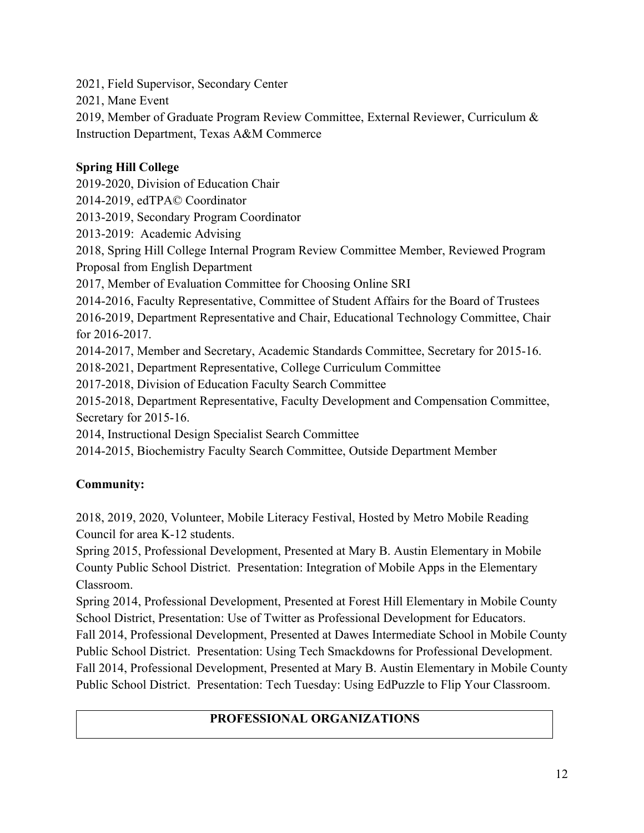2021, Field Supervisor, Secondary Center

2021, Mane Event

2019, Member of Graduate Program Review Committee, External Reviewer, Curriculum & Instruction Department, Texas A&M Commerce

## **Spring Hill College**

2019-2020, Division of Education Chair 2014-2019, edTPA© Coordinator 2013-2019, Secondary Program Coordinator 2013-2019: Academic Advising 2018, Spring Hill College Internal Program Review Committee Member, Reviewed Program Proposal from English Department 2017, Member of Evaluation Committee for Choosing Online SRI 2014-2016, Faculty Representative, Committee of Student Affairs for the Board of Trustees 2016-2019, Department Representative and Chair, Educational Technology Committee, Chair for 2016-2017. 2014-2017, Member and Secretary, Academic Standards Committee, Secretary for 2015-16. 2018-2021, Department Representative, College Curriculum Committee 2017-2018, Division of Education Faculty Search Committee 2015-2018, Department Representative, Faculty Development and Compensation Committee, Secretary for 2015-16. 2014, Instructional Design Specialist Search Committee 2014-2015, Biochemistry Faculty Search Committee, Outside Department Member

# **Community:**

2018, 2019, 2020, Volunteer, Mobile Literacy Festival, Hosted by Metro Mobile Reading Council for area K-12 students.

Spring 2015, Professional Development, Presented at Mary B. Austin Elementary in Mobile County Public School District. Presentation: Integration of Mobile Apps in the Elementary Classroom.

Spring 2014, Professional Development, Presented at Forest Hill Elementary in Mobile County School District, Presentation: Use of Twitter as Professional Development for Educators.

Fall 2014, Professional Development, Presented at Dawes Intermediate School in Mobile County Public School District. Presentation: Using Tech Smackdowns for Professional Development. Fall 2014, Professional Development, Presented at Mary B. Austin Elementary in Mobile County Public School District. Presentation: Tech Tuesday: Using EdPuzzle to Flip Your Classroom.

# **PROFESSIONAL ORGANIZATIONS**